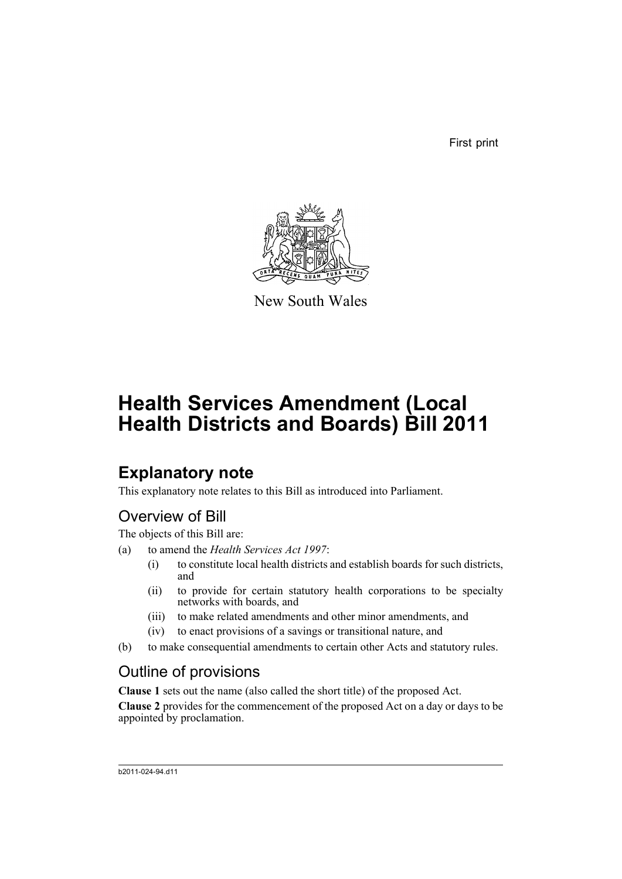First print



New South Wales

# **Health Services Amendment (Local Health Districts and Boards) Bill 2011**

# **Explanatory note**

This explanatory note relates to this Bill as introduced into Parliament.

# Overview of Bill

The objects of this Bill are:

- (a) to amend the *Health Services Act 1997*:
	- (i) to constitute local health districts and establish boards for such districts, and
	- (ii) to provide for certain statutory health corporations to be specialty networks with boards, and
	- (iii) to make related amendments and other minor amendments, and
	- (iv) to enact provisions of a savings or transitional nature, and
- (b) to make consequential amendments to certain other Acts and statutory rules.

# Outline of provisions

**Clause 1** sets out the name (also called the short title) of the proposed Act.

**Clause 2** provides for the commencement of the proposed Act on a day or days to be appointed by proclamation.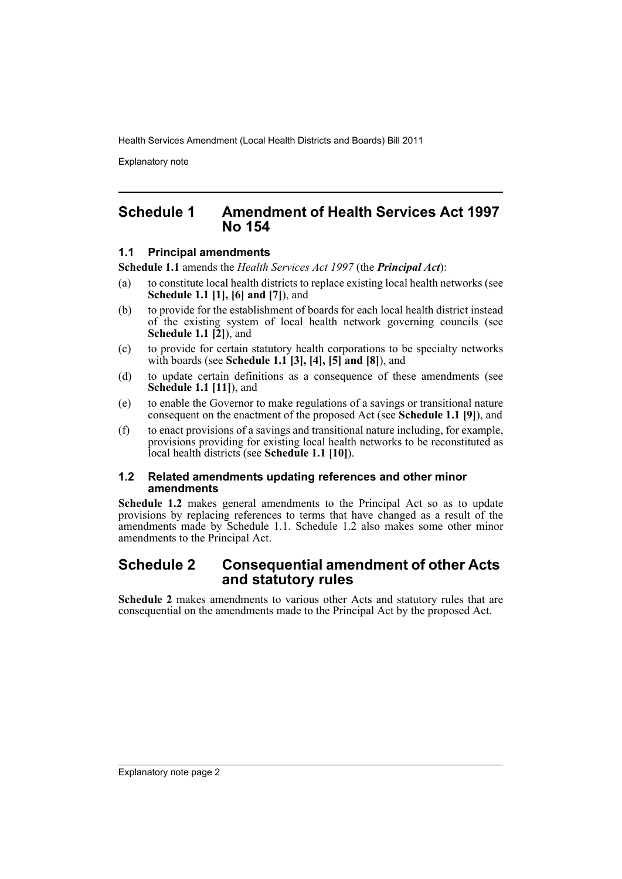Explanatory note

## **Schedule 1 Amendment of Health Services Act 1997 No 154**

### **1.1 Principal amendments**

**Schedule 1.1** amends the *Health Services Act 1997* (the *Principal Act*):

- (a) to constitute local health districts to replace existing local health networks (see **Schedule 1.1 [1], [6] and [7]**), and
- (b) to provide for the establishment of boards for each local health district instead of the existing system of local health network governing councils (see **Schedule 1.1 [2]**), and
- (c) to provide for certain statutory health corporations to be specialty networks with boards (see **Schedule 1.1 [3], [4], [5] and [8]**), and
- (d) to update certain definitions as a consequence of these amendments (see **Schedule 1.1 [11]**), and
- (e) to enable the Governor to make regulations of a savings or transitional nature consequent on the enactment of the proposed Act (see **Schedule 1.1 [9]**), and
- (f) to enact provisions of a savings and transitional nature including, for example, provisions providing for existing local health networks to be reconstituted as local health districts (see **Schedule 1.1 [10]**).

### **1.2 Related amendments updating references and other minor amendments**

**Schedule 1.2** makes general amendments to the Principal Act so as to update provisions by replacing references to terms that have changed as a result of the amendments made by Schedule 1.1. Schedule 1.2 also makes some other minor amendments to the Principal Act.

# **Schedule 2 Consequential amendment of other Acts and statutory rules**

**Schedule 2** makes amendments to various other Acts and statutory rules that are consequential on the amendments made to the Principal Act by the proposed Act.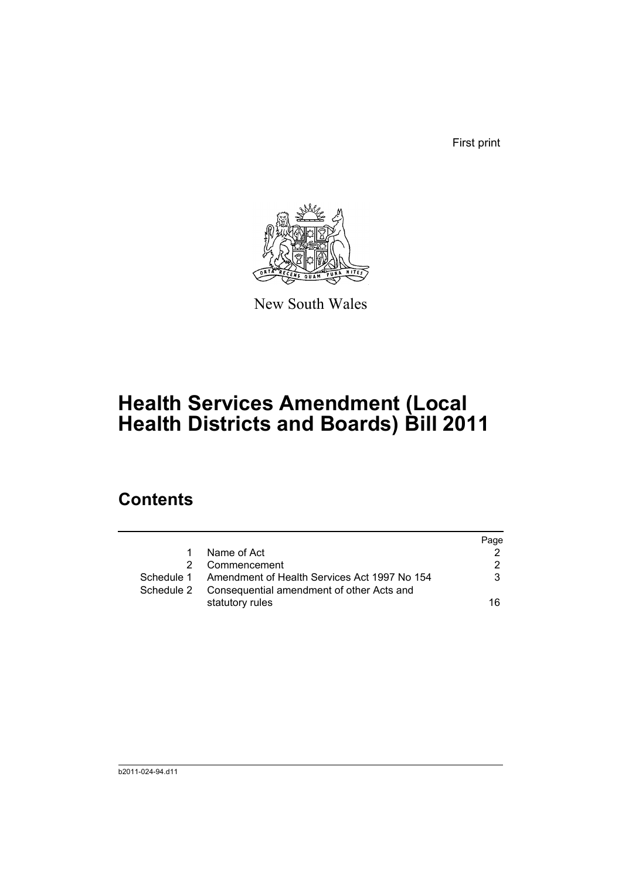First print



New South Wales

# **Health Services Amendment (Local Health Districts and Boards) Bill 2011**

# **Contents**

|            |                                                         | Page |
|------------|---------------------------------------------------------|------|
| 1.         | Name of Act                                             |      |
|            | Commencement                                            | 2    |
|            | Schedule 1 Amendment of Health Services Act 1997 No 154 | 3    |
| Schedule 2 | Consequential amendment of other Acts and               |      |
|            | statutory rules                                         | 16   |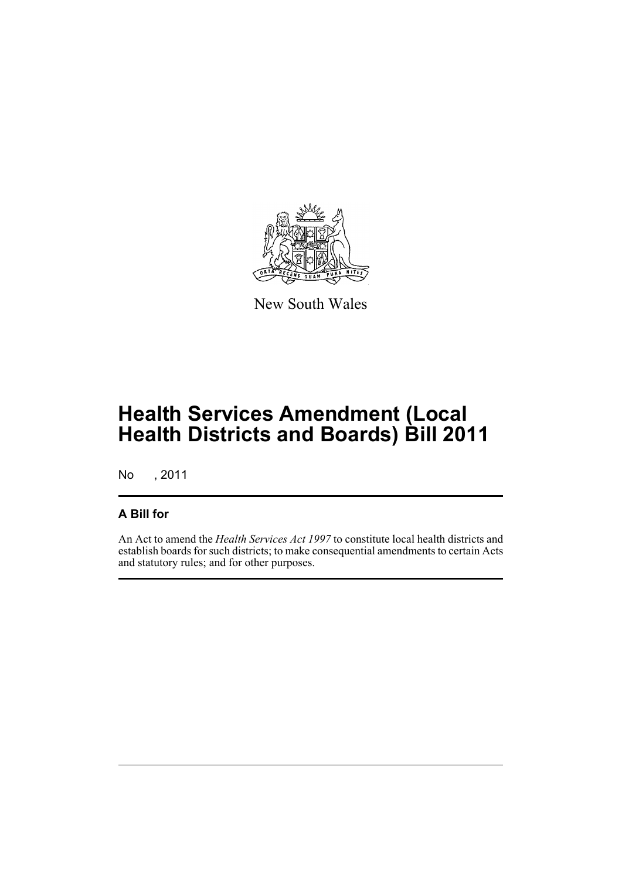

New South Wales

# **Health Services Amendment (Local Health Districts and Boards) Bill 2011**

No , 2011

## **A Bill for**

An Act to amend the *Health Services Act 1997* to constitute local health districts and establish boards for such districts; to make consequential amendments to certain Acts and statutory rules; and for other purposes.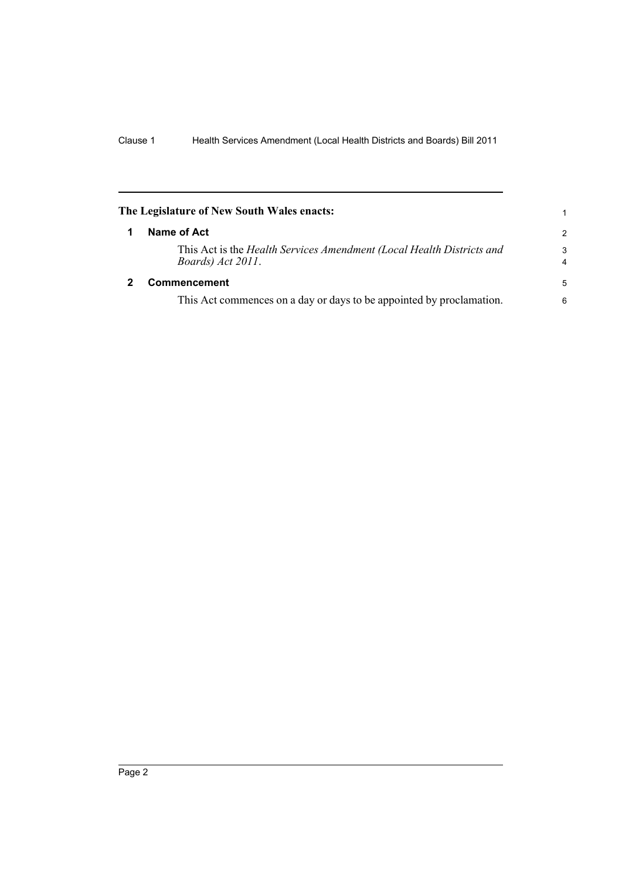<span id="page-5-1"></span><span id="page-5-0"></span>

| The Legislature of New South Wales enacts: |                                                                                            |                     |
|--------------------------------------------|--------------------------------------------------------------------------------------------|---------------------|
| 1                                          | Name of Act                                                                                | $\overline{2}$      |
|                                            | This Act is the Health Services Amendment (Local Health Districts and<br>Boards) Act 2011. | 3<br>$\overline{4}$ |
|                                            | <b>Commencement</b>                                                                        | 5                   |
|                                            | This Act commences on a day or days to be appointed by proclamation.                       | 6                   |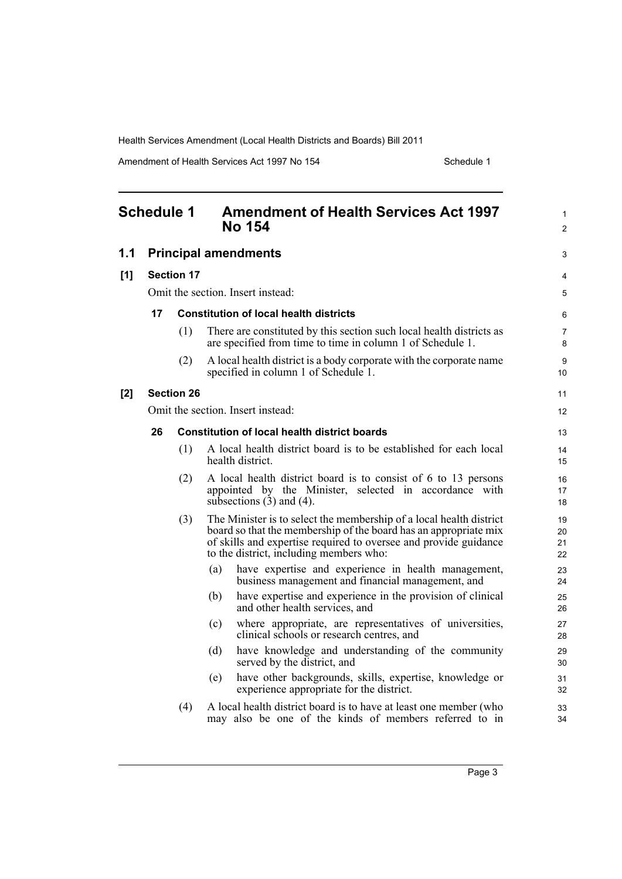Amendment of Health Services Act 1997 No 154 Schedule 1

<span id="page-6-0"></span>

| <b>Schedule 1</b> |    |                   | <b>Amendment of Health Services Act 1997</b><br><b>No 154</b>                                                                                                                                                                                          | 1<br>$\overline{2}$  |
|-------------------|----|-------------------|--------------------------------------------------------------------------------------------------------------------------------------------------------------------------------------------------------------------------------------------------------|----------------------|
| 1.1               |    |                   | <b>Principal amendments</b>                                                                                                                                                                                                                            | 3                    |
| [1]               |    | <b>Section 17</b> |                                                                                                                                                                                                                                                        | 4                    |
|                   |    |                   | Omit the section. Insert instead:                                                                                                                                                                                                                      | 5                    |
|                   | 17 |                   | <b>Constitution of local health districts</b>                                                                                                                                                                                                          | 6                    |
|                   |    | (1)               | There are constituted by this section such local health districts as<br>are specified from time to time in column 1 of Schedule 1.                                                                                                                     | 7<br>8               |
|                   |    | (2)               | A local health district is a body corporate with the corporate name<br>specified in column 1 of Schedule 1.                                                                                                                                            | 9<br>10              |
| [2]               |    | <b>Section 26</b> |                                                                                                                                                                                                                                                        | 11                   |
|                   |    |                   | Omit the section. Insert instead:                                                                                                                                                                                                                      | 12                   |
|                   | 26 |                   | <b>Constitution of local health district boards</b>                                                                                                                                                                                                    | 13                   |
|                   |    | (1)               | A local health district board is to be established for each local<br>health district.                                                                                                                                                                  | 14<br>15             |
|                   |    | (2)               | A local health district board is to consist of 6 to 13 persons<br>appointed by the Minister, selected in accordance with<br>subsections $(3)$ and $(4)$ .                                                                                              | 16<br>17<br>18       |
|                   |    | (3)               | The Minister is to select the membership of a local health district<br>board so that the membership of the board has an appropriate mix<br>of skills and expertise required to oversee and provide guidance<br>to the district, including members who: | 19<br>20<br>21<br>22 |
|                   |    |                   | have expertise and experience in health management,<br>(a)<br>business management and financial management, and                                                                                                                                        | 23<br>24             |
|                   |    |                   | have expertise and experience in the provision of clinical<br>(b)<br>and other health services, and                                                                                                                                                    | 25<br>26             |
|                   |    |                   | where appropriate, are representatives of universities,<br>(c)<br>clinical schools or research centres, and                                                                                                                                            | 27<br>28             |
|                   |    |                   | have knowledge and understanding of the community<br>(d)<br>served by the district, and                                                                                                                                                                | 29<br>30             |
|                   |    |                   | have other backgrounds, skills, expertise, knowledge or<br>(e)<br>experience appropriate for the district.                                                                                                                                             | 31<br>32             |
|                   |    | (4)               | A local health district board is to have at least one member (who<br>may also be one of the kinds of members referred to in                                                                                                                            | 33<br>34             |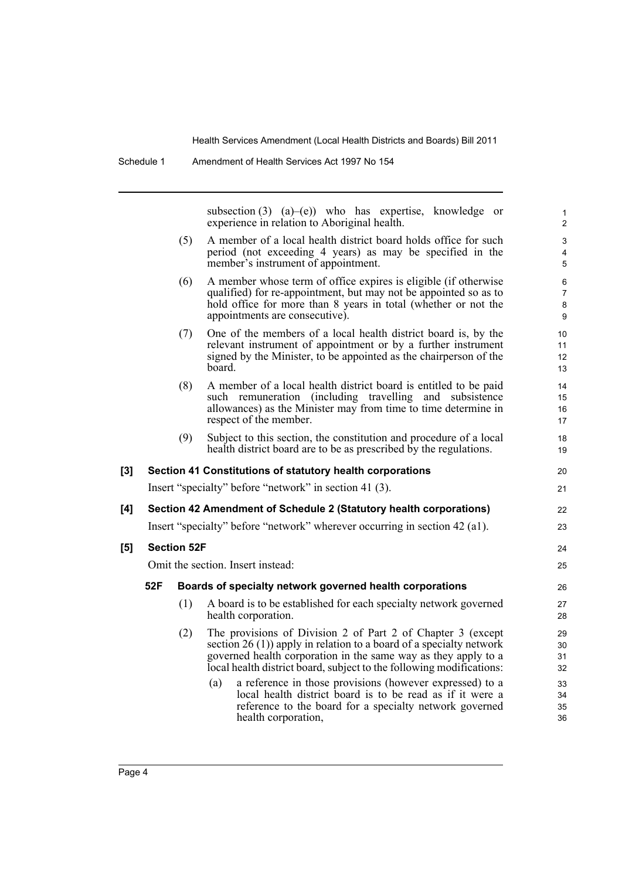subsection (3) (a)–(e)) who has expertise, knowledge or experience in relation to Aboriginal health.

20 21

22 23

- (5) A member of a local health district board holds office for such period (not exceeding 4 years) as may be specified in the member's instrument of appointment.
- (6) A member whose term of office expires is eligible (if otherwise qualified) for re-appointment, but may not be appointed so as to hold office for more than 8 years in total (whether or not the appointments are consecutive).
- (7) One of the members of a local health district board is, by the relevant instrument of appointment or by a further instrument signed by the Minister, to be appointed as the chairperson of the board.
- (8) A member of a local health district board is entitled to be paid such remuneration (including travelling and subsistence allowances) as the Minister may from time to time determine in respect of the member.
- (9) Subject to this section, the constitution and procedure of a local health district board are to be as prescribed by the regulations.

#### **[3] Section 41 Constitutions of statutory health corporations**

Insert "specialty" before "network" in section 41 (3).

## **[4] Section 42 Amendment of Schedule 2 (Statutory health corporations)**

Insert "specialty" before "network" wherever occurring in section 42 (a1).

### **[5] Section 52F**

Omit the section. Insert instead:

### **52F Boards of specialty network governed health corporations**

- (1) A board is to be established for each specialty network governed health corporation.
- (2) The provisions of Division 2 of Part 2 of Chapter 3 (except section 26 (1)) apply in relation to a board of a specialty network governed health corporation in the same way as they apply to a local health district board, subject to the following modifications:
	- (a) a reference in those provisions (however expressed) to a local health district board is to be read as if it were a reference to the board for a specialty network governed health corporation,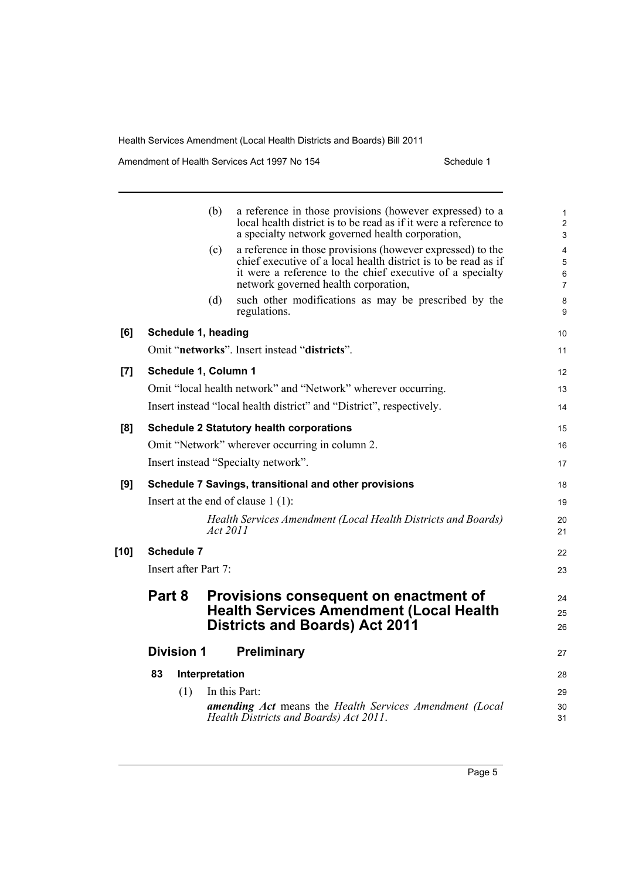Amendment of Health Services Act 1997 No 154 Schedule 1

|        |                      | (b)            | a reference in those provisions (however expressed) to a<br>local health district is to be read as if it were a reference to<br>a specialty network governed health corporation,                                                  | 1<br>$\overline{c}$<br>3 |
|--------|----------------------|----------------|-----------------------------------------------------------------------------------------------------------------------------------------------------------------------------------------------------------------------------------|--------------------------|
|        |                      | (c)            | a reference in those provisions (however expressed) to the<br>chief executive of a local health district is to be read as if<br>it were a reference to the chief executive of a specialty<br>network governed health corporation, | 4<br>5<br>6<br>7         |
|        |                      | (d)            | such other modifications as may be prescribed by the<br>regulations.                                                                                                                                                              | 8<br>9                   |
| [6]    | Schedule 1, heading  |                |                                                                                                                                                                                                                                   | 10                       |
|        |                      |                | Omit "networks". Insert instead "districts".                                                                                                                                                                                      | 11                       |
| [7]    | Schedule 1, Column 1 |                |                                                                                                                                                                                                                                   | 12                       |
|        |                      |                | Omit "local health network" and "Network" wherever occurring.                                                                                                                                                                     | 13                       |
|        |                      |                | Insert instead "local health district" and "District", respectively.                                                                                                                                                              | 14                       |
| [8]    |                      |                | <b>Schedule 2 Statutory health corporations</b>                                                                                                                                                                                   | 15                       |
|        |                      |                | Omit "Network" wherever occurring in column 2.                                                                                                                                                                                    | 16                       |
|        |                      |                | Insert instead "Specialty network".                                                                                                                                                                                               | 17                       |
| [9]    |                      |                | Schedule 7 Savings, transitional and other provisions                                                                                                                                                                             | 18                       |
|        |                      |                | Insert at the end of clause $1(1)$ :                                                                                                                                                                                              | 19                       |
|        |                      | Act 2011       | Health Services Amendment (Local Health Districts and Boards)                                                                                                                                                                     | 20<br>21                 |
| $[10]$ | <b>Schedule 7</b>    |                |                                                                                                                                                                                                                                   | 22                       |
|        | Insert after Part 7: |                |                                                                                                                                                                                                                                   | 23                       |
|        | Part 8               |                | Provisions consequent on enactment of                                                                                                                                                                                             | 24                       |
|        |                      |                | <b>Health Services Amendment (Local Health</b>                                                                                                                                                                                    | 25                       |
|        |                      |                | <b>Districts and Boards) Act 2011</b>                                                                                                                                                                                             | 26                       |
|        | <b>Division 1</b>    |                | Preliminary                                                                                                                                                                                                                       | 27                       |
|        | 83                   | Interpretation |                                                                                                                                                                                                                                   | 28                       |
|        | (1)                  |                | In this Part:                                                                                                                                                                                                                     | 29                       |
|        |                      |                | <b>amending Act</b> means the Health Services Amendment (Local<br>Health Districts and Boards) Act 2011.                                                                                                                          | 30<br>31                 |
|        |                      |                |                                                                                                                                                                                                                                   |                          |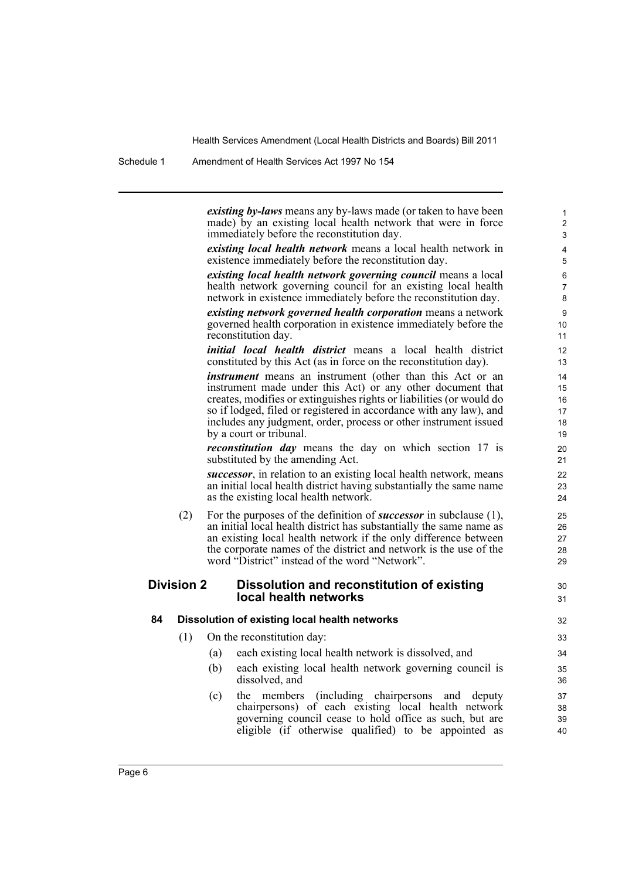Schedule 1 Amendment of Health Services Act 1997 No 154

*existing by-laws* means any by-laws made (or taken to have been made) by an existing local health network that were in force immediately before the reconstitution day.

30 31

*existing local health network* means a local health network in existence immediately before the reconstitution day.

*existing local health network governing council* means a local health network governing council for an existing local health network in existence immediately before the reconstitution day.

*existing network governed health corporation* means a network governed health corporation in existence immediately before the reconstitution day.

*initial local health district* means a local health district constituted by this Act (as in force on the reconstitution day).

*instrument* means an instrument (other than this Act or an instrument made under this Act) or any other document that creates, modifies or extinguishes rights or liabilities (or would do so if lodged, filed or registered in accordance with any law), and includes any judgment, order, process or other instrument issued by a court or tribunal.

*reconstitution day* means the day on which section 17 is substituted by the amending Act.

*successor*, in relation to an existing local health network, means an initial local health district having substantially the same name as the existing local health network.

(2) For the purposes of the definition of *successor* in subclause (1), an initial local health district has substantially the same name as an existing local health network if the only difference between the corporate names of the district and network is the use of the word "District" instead of the word "Network".

### **Division 2 Dissolution and reconstitution of existing local health networks**

#### **84 Dissolution of existing local health networks**

- (1) On the reconstitution day:
	- (a) each existing local health network is dissolved, and
	- (b) each existing local health network governing council is dissolved, and
	- (c) the members (including chairpersons and deputy chairpersons) of each existing local health network governing council cease to hold office as such, but are eligible (if otherwise qualified) to be appointed as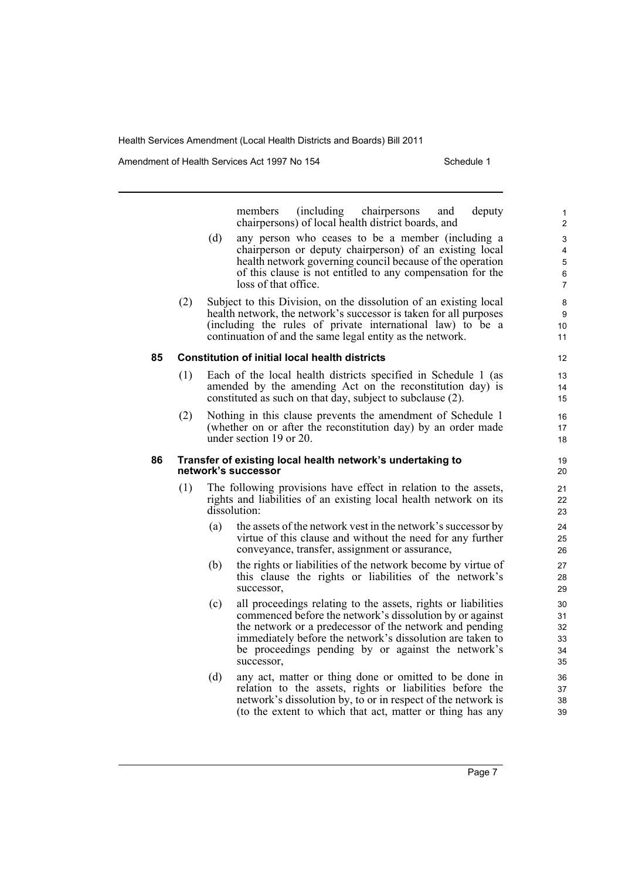Amendment of Health Services Act 1997 No 154 Schedule 1

members (including chairpersons and deputy chairpersons) of local health district boards, and (d) any person who ceases to be a member (including a chairperson or deputy chairperson) of an existing local health network governing council because of the operation of this clause is not entitled to any compensation for the loss of that office. (2) Subject to this Division, on the dissolution of an existing local health network, the network's successor is taken for all purposes (including the rules of private international law) to be a continuation of and the same legal entity as the network. **85 Constitution of initial local health districts** (1) Each of the local health districts specified in Schedule 1 (as amended by the amending Act on the reconstitution day) is constituted as such on that day, subject to subclause (2). (2) Nothing in this clause prevents the amendment of Schedule 1 (whether on or after the reconstitution day) by an order made under section 19 or 20. **86 Transfer of existing local health network's undertaking to network's successor** (1) The following provisions have effect in relation to the assets, rights and liabilities of an existing local health network on its dissolution: (a) the assets of the network vest in the network's successor by virtue of this clause and without the need for any further conveyance, transfer, assignment or assurance, (b) the rights or liabilities of the network become by virtue of this clause the rights or liabilities of the network's successor, (c) all proceedings relating to the assets, rights or liabilities commenced before the network's dissolution by or against the network or a predecessor of the network and pending immediately before the network's dissolution are taken to be proceedings pending by or against the network's successor, (d) any act, matter or thing done or omitted to be done in relation to the assets, rights or liabilities before the network's dissolution by, to or in respect of the network is

(to the extent to which that act, matter or thing has any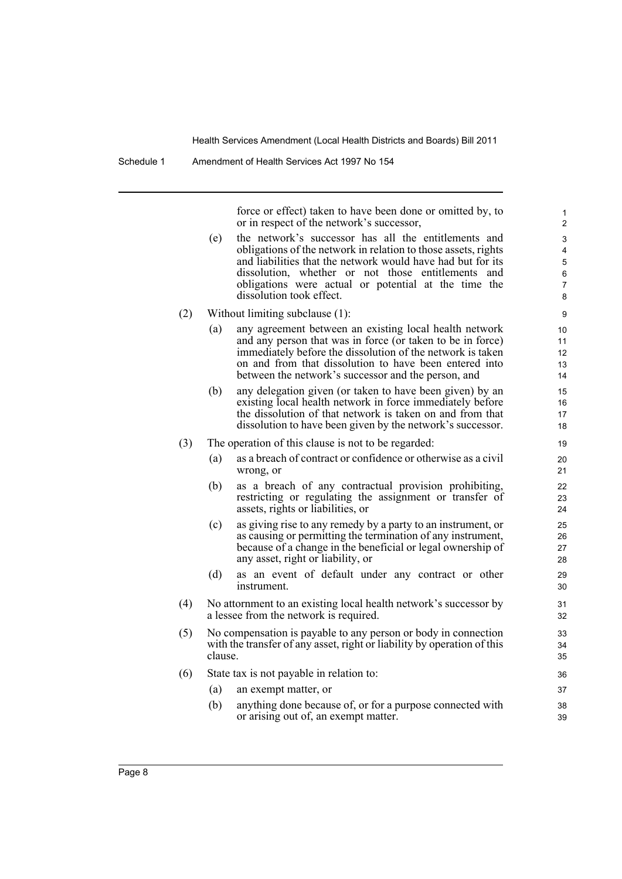force or effect) taken to have been done or omitted by, to or in respect of the network's successor,

- (e) the network's successor has all the entitlements and obligations of the network in relation to those assets, rights and liabilities that the network would have had but for its dissolution, whether or not those entitlements and obligations were actual or potential at the time the dissolution took effect.
- (2) Without limiting subclause (1):
	- (a) any agreement between an existing local health network and any person that was in force (or taken to be in force) immediately before the dissolution of the network is taken on and from that dissolution to have been entered into between the network's successor and the person, and
	- (b) any delegation given (or taken to have been given) by an existing local health network in force immediately before the dissolution of that network is taken on and from that dissolution to have been given by the network's successor.
- (3) The operation of this clause is not to be regarded:
	- (a) as a breach of contract or confidence or otherwise as a civil wrong, or
	- (b) as a breach of any contractual provision prohibiting, restricting or regulating the assignment or transfer of assets, rights or liabilities, or
	- (c) as giving rise to any remedy by a party to an instrument, or as causing or permitting the termination of any instrument, because of a change in the beneficial or legal ownership of any asset, right or liability, or
	- (d) as an event of default under any contract or other instrument.
- (4) No attornment to an existing local health network's successor by a lessee from the network is required.
- (5) No compensation is payable to any person or body in connection with the transfer of any asset, right or liability by operation of this clause.
- (6) State tax is not payable in relation to:
	- (a) an exempt matter, or
	- (b) anything done because of, or for a purpose connected with or arising out of, an exempt matter.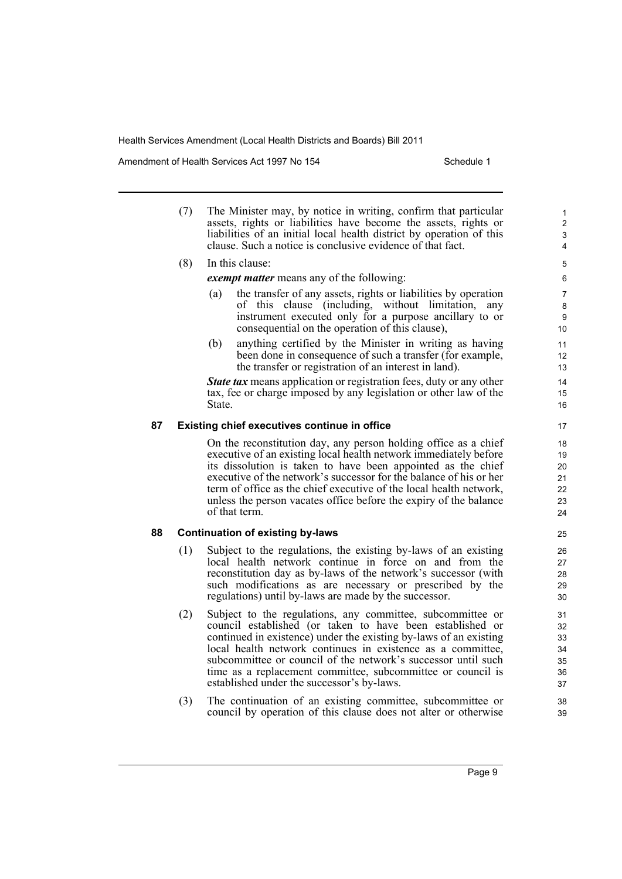Amendment of Health Services Act 1997 No 154 Schedule 1

(7) The Minister may, by notice in writing, confirm that particular assets, rights or liabilities have become the assets, rights or liabilities of an initial local health district by operation of this clause. Such a notice is conclusive evidence of that fact.

(8) In this clause:

*exempt matter* means any of the following:

- (a) the transfer of any assets, rights or liabilities by operation of this clause (including, without limitation, any instrument executed only for a purpose ancillary to or consequential on the operation of this clause),
- (b) anything certified by the Minister in writing as having been done in consequence of such a transfer (for example, the transfer or registration of an interest in land).

*State tax* means application or registration fees, duty or any other tax, fee or charge imposed by any legislation or other law of the State.

### **87 Existing chief executives continue in office**

On the reconstitution day, any person holding office as a chief executive of an existing local health network immediately before its dissolution is taken to have been appointed as the chief executive of the network's successor for the balance of his or her term of office as the chief executive of the local health network, unless the person vacates office before the expiry of the balance of that term.

### **88 Continuation of existing by-laws**

- (1) Subject to the regulations, the existing by-laws of an existing local health network continue in force on and from the reconstitution day as by-laws of the network's successor (with such modifications as are necessary or prescribed by the regulations) until by-laws are made by the successor.
- (2) Subject to the regulations, any committee, subcommittee or council established (or taken to have been established or continued in existence) under the existing by-laws of an existing local health network continues in existence as a committee, subcommittee or council of the network's successor until such time as a replacement committee, subcommittee or council is established under the successor's by-laws.
- (3) The continuation of an existing committee, subcommittee or council by operation of this clause does not alter or otherwise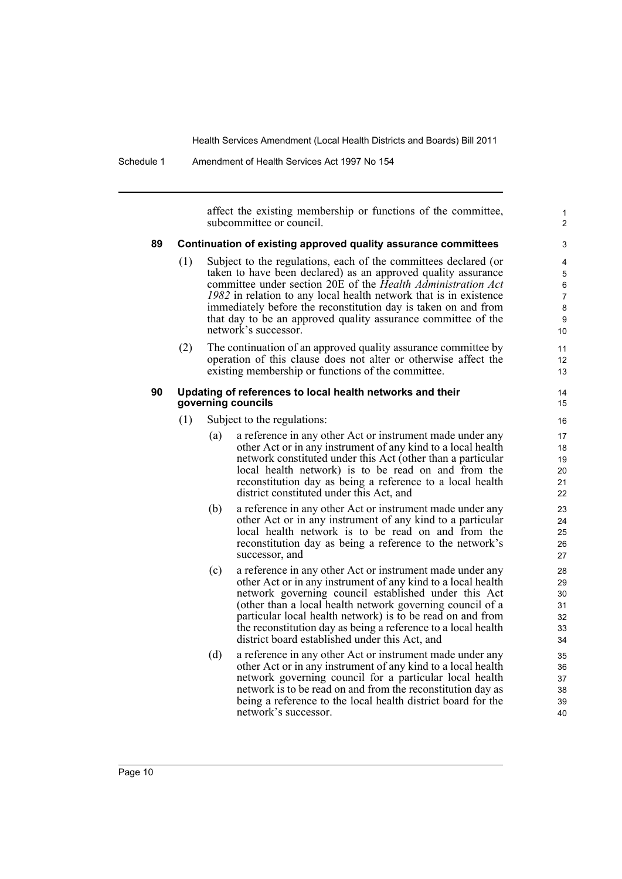Schedule 1 Amendment of Health Services Act 1997 No 154

affect the existing membership or functions of the committee, subcommittee or council.

1  $\overline{2}$ 

#### **89 Continuation of existing approved quality assurance committees**

- (1) Subject to the regulations, each of the committees declared (or taken to have been declared) as an approved quality assurance committee under section 20E of the *Health Administration Act 1982* in relation to any local health network that is in existence immediately before the reconstitution day is taken on and from that day to be an approved quality assurance committee of the network's successor.
- (2) The continuation of an approved quality assurance committee by operation of this clause does not alter or otherwise affect the existing membership or functions of the committee.

#### **90 Updating of references to local health networks and their governing councils**

- (1) Subject to the regulations:
	- (a) a reference in any other Act or instrument made under any other Act or in any instrument of any kind to a local health network constituted under this Act (other than a particular local health network) is to be read on and from the reconstitution day as being a reference to a local health district constituted under this Act, and
	- (b) a reference in any other Act or instrument made under any other Act or in any instrument of any kind to a particular local health network is to be read on and from the reconstitution day as being a reference to the network's successor, and
	- (c) a reference in any other Act or instrument made under any other Act or in any instrument of any kind to a local health network governing council established under this Act (other than a local health network governing council of a particular local health network) is to be read on and from the reconstitution day as being a reference to a local health district board established under this Act, and
	- (d) a reference in any other Act or instrument made under any other Act or in any instrument of any kind to a local health network governing council for a particular local health network is to be read on and from the reconstitution day as being a reference to the local health district board for the network's successor.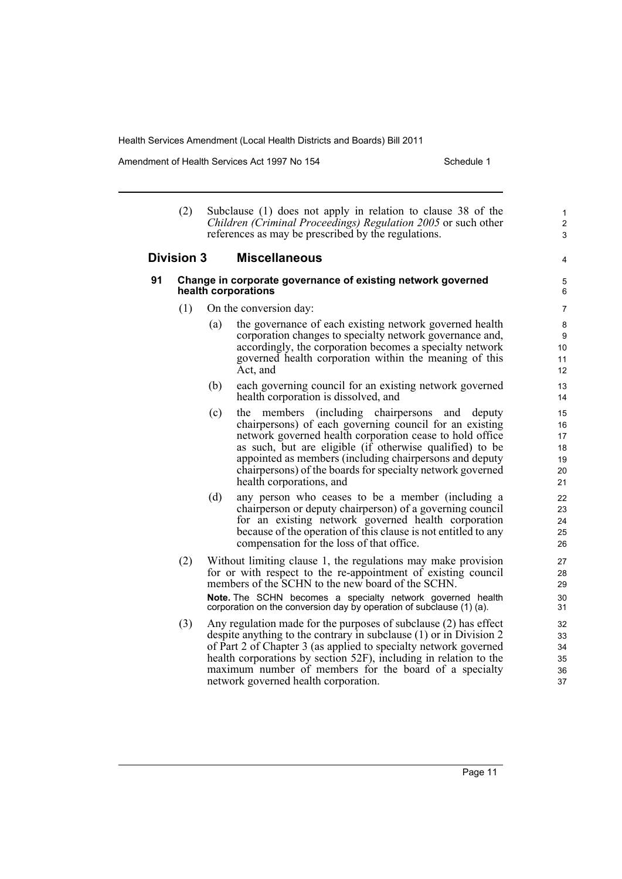Amendment of Health Services Act 1997 No 154 Schedule 1

- (2) Subclause (1) does not apply in relation to clause 38 of the *Children (Criminal Proceedings) Regulation 2005* or such other references as may be prescribed by the regulations. **Division 3 Miscellaneous**
- **91 Change in corporate governance of existing network governed health corporations**

5 6 7

4

1 2 3

- (1) On the conversion day:
	- (a) the governance of each existing network governed health corporation changes to specialty network governance and, accordingly, the corporation becomes a specialty network governed health corporation within the meaning of this Act, and
	- (b) each governing council for an existing network governed health corporation is dissolved, and
	- (c) the members (including chairpersons and deputy chairpersons) of each governing council for an existing network governed health corporation cease to hold office as such, but are eligible (if otherwise qualified) to be appointed as members (including chairpersons and deputy chairpersons) of the boards for specialty network governed health corporations, and
	- (d) any person who ceases to be a member (including a chairperson or deputy chairperson) of a governing council for an existing network governed health corporation because of the operation of this clause is not entitled to any compensation for the loss of that office.
- (2) Without limiting clause 1, the regulations may make provision for or with respect to the re-appointment of existing council members of the SCHN to the new board of the SCHN. **Note.** The SCHN becomes a specialty network governed health corporation on the conversion day by operation of subclause (1) (a).
- (3) Any regulation made for the purposes of subclause (2) has effect despite anything to the contrary in subclause (1) or in Division 2 of Part 2 of Chapter 3 (as applied to specialty network governed health corporations by section 52F), including in relation to the maximum number of members for the board of a specialty network governed health corporation.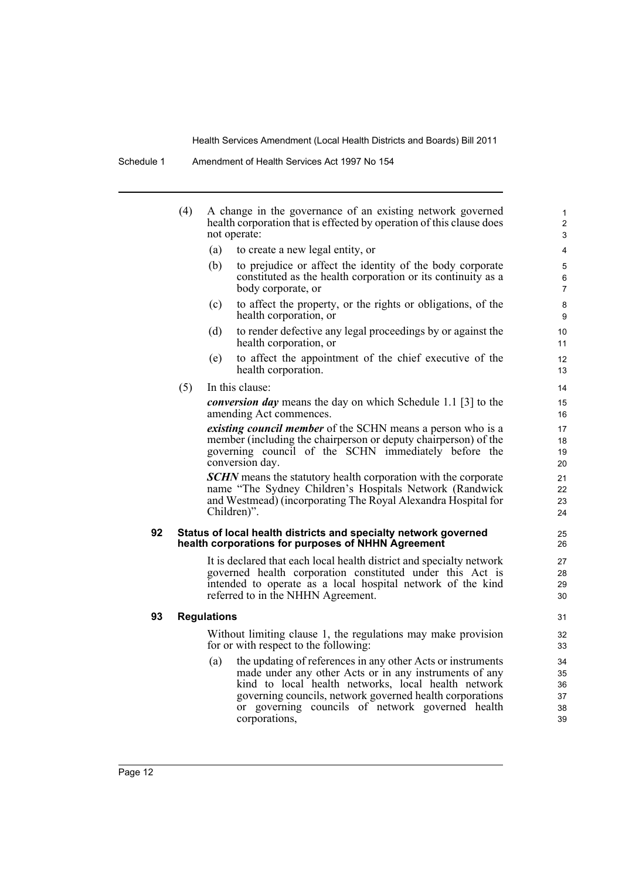|    | (4) |                    | A change in the governance of an existing network governed<br>health corporation that is effected by operation of this clause does<br>not operate:                                                                                                                                                            | 1<br>2<br>3                      |
|----|-----|--------------------|---------------------------------------------------------------------------------------------------------------------------------------------------------------------------------------------------------------------------------------------------------------------------------------------------------------|----------------------------------|
|    |     | (a)                | to create a new legal entity, or                                                                                                                                                                                                                                                                              | 4                                |
|    |     | (b)                | to prejudice or affect the identity of the body corporate<br>constituted as the health corporation or its continuity as a<br>body corporate, or                                                                                                                                                               | 5<br>$\,6\,$<br>7                |
|    |     | (c)                | to affect the property, or the rights or obligations, of the<br>health corporation, or                                                                                                                                                                                                                        | 8<br>9                           |
|    |     | (d)                | to render defective any legal proceedings by or against the<br>health corporation, or                                                                                                                                                                                                                         | 10<br>11                         |
|    |     | (e)                | to affect the appointment of the chief executive of the<br>health corporation.                                                                                                                                                                                                                                | 12<br>13                         |
|    | (5) |                    | In this clause:                                                                                                                                                                                                                                                                                               | 14                               |
|    |     |                    | <i>conversion day</i> means the day on which Schedule 1.1 [3] to the<br>amending Act commences.                                                                                                                                                                                                               | 15<br>16                         |
|    |     |                    | <i>existing council member</i> of the SCHN means a person who is a<br>member (including the chairperson or deputy chairperson) of the<br>governing council of the SCHN immediately before the<br>conversion day.                                                                                              | 17<br>18<br>19<br>20             |
|    |     |                    | <b>SCHN</b> means the statutory health corporation with the corporate<br>name "The Sydney Children's Hospitals Network (Randwick<br>and Westmead) (incorporating The Royal Alexandra Hospital for<br>Children)".                                                                                              | 21<br>22<br>23<br>24             |
| 92 |     |                    | Status of local health districts and specialty network governed<br>health corporations for purposes of NHHN Agreement                                                                                                                                                                                         | 25<br>26                         |
|    |     |                    | It is declared that each local health district and specialty network<br>governed health corporation constituted under this Act is<br>intended to operate as a local hospital network of the kind<br>referred to in the NHHN Agreement.                                                                        | 27<br>28<br>29<br>30             |
| 93 |     | <b>Regulations</b> |                                                                                                                                                                                                                                                                                                               | 31                               |
|    |     |                    | Without limiting clause 1, the regulations may make provision<br>for or with respect to the following:                                                                                                                                                                                                        | 32<br>33                         |
|    |     | (a)                | the updating of references in any other Acts or instruments<br>made under any other Acts or in any instruments of any<br>kind to local health networks, local health network<br>governing councils, network governed health corporations<br>or governing councils of network governed health<br>corporations, | 34<br>35<br>36<br>37<br>38<br>39 |

**93 Regulations**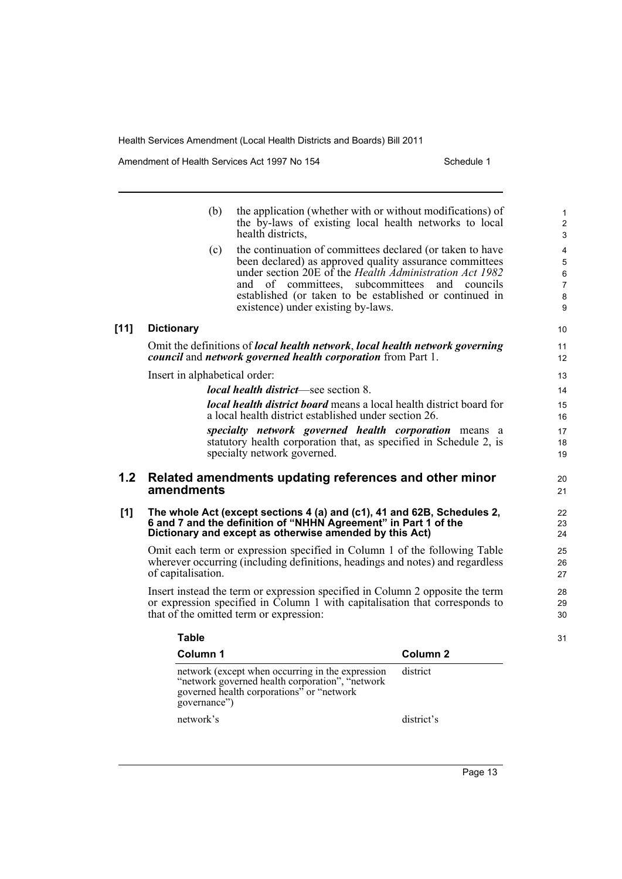governed health corporations" or "network

network's district's

governance")

Amendment of Health Services Act 1997 No 154 Schedule 1

 $[11]$ 

|     | (b)                           | the application (whether with or without modifications) of<br>the by-laws of existing local health networks to local<br>health districts,                                                                                                                                                                                         |                     | $\mathbf{1}$<br>$\overline{2}$<br>$\mathfrak{S}$             |
|-----|-------------------------------|-----------------------------------------------------------------------------------------------------------------------------------------------------------------------------------------------------------------------------------------------------------------------------------------------------------------------------------|---------------------|--------------------------------------------------------------|
|     | (c)                           | the continuation of committees declared (or taken to have<br>been declared) as approved quality assurance committees<br>under section 20E of the Health Administration Act 1982<br>and of committees, subcommittees and councils<br>established (or taken to be established or continued in<br>existence) under existing by-laws. |                     | 4<br>$\sqrt{5}$<br>$\,6\,$<br>$\overline{7}$<br>$\bf 8$<br>9 |
| 11] | <b>Dictionary</b>             |                                                                                                                                                                                                                                                                                                                                   |                     | 10 <sup>1</sup>                                              |
|     |                               | Omit the definitions of local health network, local health network governing<br>council and network governed health corporation from Part 1.                                                                                                                                                                                      |                     | 11<br>12                                                     |
|     | Insert in alphabetical order: |                                                                                                                                                                                                                                                                                                                                   |                     | 13                                                           |
|     |                               | <i>local health district</i> —see section 8.                                                                                                                                                                                                                                                                                      |                     | 14                                                           |
|     |                               | <b>local health district board</b> means a local health district board for<br>a local health district established under section 26.                                                                                                                                                                                               |                     | 15<br>16                                                     |
|     |                               | specialty network governed health corporation means a<br>statutory health corporation that, as specified in Schedule 2, is<br>specialty network governed.                                                                                                                                                                         |                     | 17<br>18<br>19                                               |
| 1.2 | amendments                    | Related amendments updating references and other minor                                                                                                                                                                                                                                                                            |                     | 20<br>21                                                     |
| [1] |                               | The whole Act (except sections 4 (a) and (c1), 41 and 62B, Schedules 2,<br>6 and 7 and the definition of "NHHN Agreement" in Part 1 of the<br>Dictionary and except as otherwise amended by this Act)                                                                                                                             |                     | 22<br>23<br>24                                               |
|     | of capitalisation.            | Omit each term or expression specified in Column 1 of the following Table<br>wherever occurring (including definitions, headings and notes) and regardless                                                                                                                                                                        |                     | 25<br>26<br>27                                               |
|     |                               | Insert instead the term or expression specified in Column 2 opposite the term<br>or expression specified in Column 1 with capitalisation that corresponds to<br>that of the omitted term or expression:                                                                                                                           |                     | 28<br>29<br>30                                               |
|     | <b>Table</b>                  |                                                                                                                                                                                                                                                                                                                                   |                     | 31                                                           |
|     | Column 1                      |                                                                                                                                                                                                                                                                                                                                   | Column <sub>2</sub> |                                                              |
|     |                               | network (except when occurring in the expression<br>"network governed health corporation", "network                                                                                                                                                                                                                               | district            |                                                              |

Page 13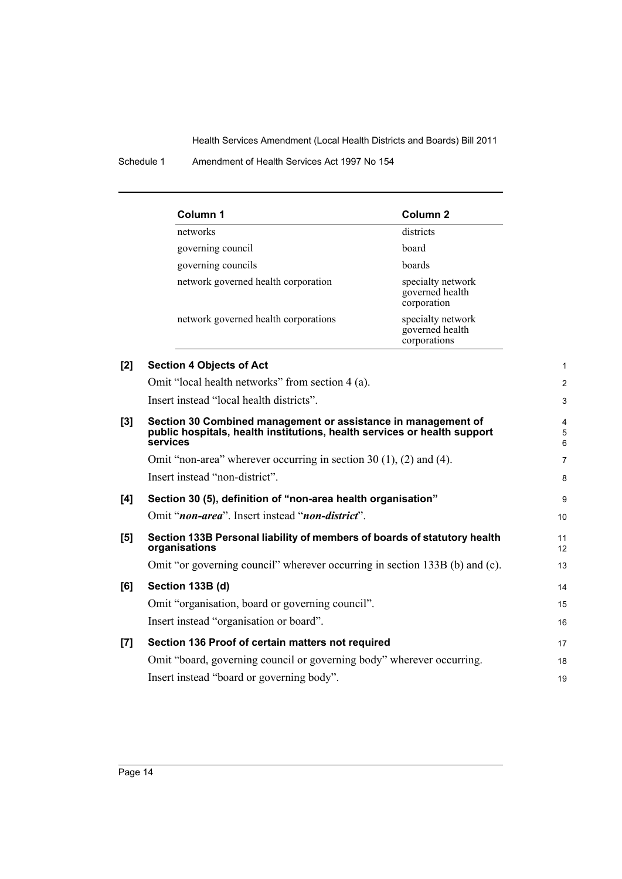Schedule 1 Amendment of Health Services Act 1997 No 154

|     | Column 1                                                                                                                                              | Column <sub>2</sub>                                  |             |
|-----|-------------------------------------------------------------------------------------------------------------------------------------------------------|------------------------------------------------------|-------------|
|     | networks                                                                                                                                              | districts                                            |             |
|     | governing council                                                                                                                                     | board                                                |             |
|     | governing councils                                                                                                                                    | boards                                               |             |
|     | network governed health corporation                                                                                                                   | specialty network<br>governed health<br>corporation  |             |
|     | network governed health corporations                                                                                                                  | specialty network<br>governed health<br>corporations |             |
| [2] | <b>Section 4 Objects of Act</b>                                                                                                                       |                                                      | 1           |
|     | Omit "local health networks" from section 4 (a).                                                                                                      |                                                      | 2           |
|     | Insert instead "local health districts".                                                                                                              |                                                      | 3           |
| [3] | Section 30 Combined management or assistance in management of<br>public hospitals, health institutions, health services or health support<br>services |                                                      | 4<br>5<br>6 |
|     | Omit "non-area" wherever occurring in section $30(1)$ , $(2)$ and $(4)$ .                                                                             |                                                      | 7           |
|     | Insert instead "non-district".                                                                                                                        |                                                      | 8           |
| [4] | Section 30 (5), definition of "non-area health organisation"                                                                                          |                                                      | 9           |
|     | Omit "non-area". Insert instead "non-district".                                                                                                       |                                                      | 10          |
| [5] | Section 133B Personal liability of members of boards of statutory health<br>organisations                                                             |                                                      | 11<br>12    |
|     | Omit "or governing council" wherever occurring in section 133B (b) and (c).                                                                           |                                                      | 13          |
| [6] | Section 133B (d)                                                                                                                                      |                                                      | 14          |
|     | Omit "organisation, board or governing council".                                                                                                      |                                                      | 15          |
|     | Insert instead "organisation or board".                                                                                                               |                                                      | 16          |
| [7] | Section 136 Proof of certain matters not required                                                                                                     |                                                      | 17          |
|     | Omit "board, governing council or governing body" wherever occurring.                                                                                 |                                                      | 18          |
|     | Insert instead "board or governing body".                                                                                                             |                                                      | 19          |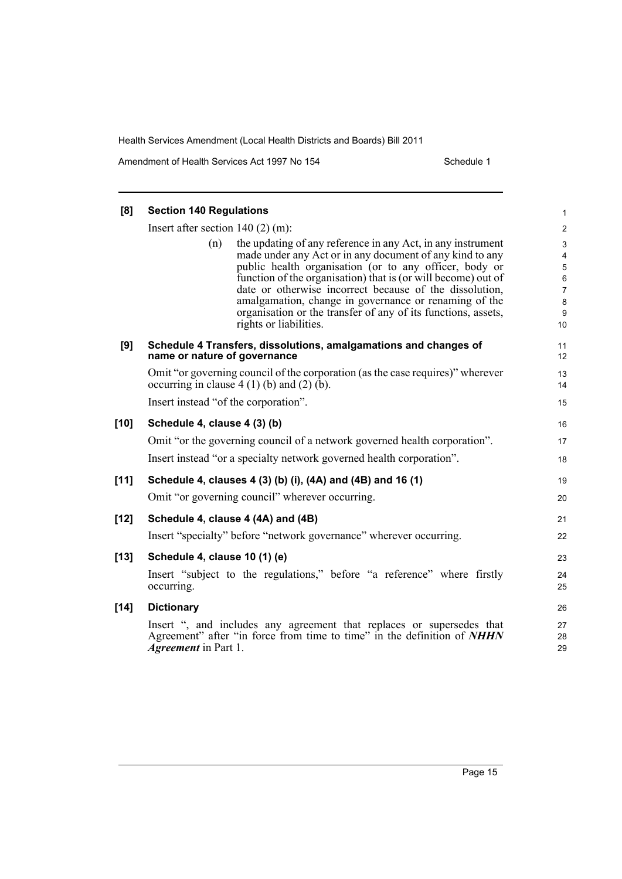Amendment of Health Services Act 1997 No 154 Schedule 1

| [8]    | <b>Section 140 Regulations</b>       |                                                                                                                                                                                                                                                                                                                                                                                                                                                                   | 1                                     |
|--------|--------------------------------------|-------------------------------------------------------------------------------------------------------------------------------------------------------------------------------------------------------------------------------------------------------------------------------------------------------------------------------------------------------------------------------------------------------------------------------------------------------------------|---------------------------------------|
|        | Insert after section $140(2)$ (m):   |                                                                                                                                                                                                                                                                                                                                                                                                                                                                   | $\overline{\mathbf{c}}$               |
|        | (n)                                  | the updating of any reference in any Act, in any instrument<br>made under any Act or in any document of any kind to any<br>public health organisation (or to any officer, body or<br>function of the organisation) that is (or will become) out of<br>date or otherwise incorrect because of the dissolution,<br>amalgamation, change in governance or renaming of the<br>organisation or the transfer of any of its functions, assets,<br>rights or liabilities. | 3<br>4<br>5<br>6<br>7<br>8<br>9<br>10 |
| [9]    | name or nature of governance         | Schedule 4 Transfers, dissolutions, amalgamations and changes of                                                                                                                                                                                                                                                                                                                                                                                                  | 11<br>12                              |
|        |                                      | Omit "or governing council of the corporation (as the case requires)" wherever<br>occurring in clause $4(1)(b)$ and $(2)(b)$ .                                                                                                                                                                                                                                                                                                                                    | 13<br>14                              |
|        | Insert instead "of the corporation". |                                                                                                                                                                                                                                                                                                                                                                                                                                                                   | 15                                    |
| $[10]$ | Schedule 4, clause 4 (3) (b)         |                                                                                                                                                                                                                                                                                                                                                                                                                                                                   | 16                                    |
|        |                                      | Omit "or the governing council of a network governed health corporation".<br>Insert instead "or a specialty network governed health corporation".                                                                                                                                                                                                                                                                                                                 | 17<br>18                              |
| $[11]$ |                                      | Schedule 4, clauses 4 (3) (b) (i), (4A) and (4B) and 16 (1)                                                                                                                                                                                                                                                                                                                                                                                                       | 19                                    |
|        |                                      | Omit "or governing council" wherever occurring.                                                                                                                                                                                                                                                                                                                                                                                                                   | 20                                    |
| $[12]$ |                                      | Schedule 4, clause 4 (4A) and (4B)                                                                                                                                                                                                                                                                                                                                                                                                                                | 21                                    |
|        |                                      | Insert "specialty" before "network governance" wherever occurring.                                                                                                                                                                                                                                                                                                                                                                                                | 22                                    |
| $[13]$ | Schedule 4, clause 10 (1) (e)        |                                                                                                                                                                                                                                                                                                                                                                                                                                                                   | 23                                    |
|        | occurring.                           | Insert "subject to the regulations," before "a reference" where firstly                                                                                                                                                                                                                                                                                                                                                                                           | 24<br>25                              |
| $[14]$ | <b>Dictionary</b>                    |                                                                                                                                                                                                                                                                                                                                                                                                                                                                   | 26                                    |
|        | <i>Agreement</i> in Part 1.          | Insert ", and includes any agreement that replaces or supersedes that<br>Agreement" after "in force from time to time" in the definition of NHHN                                                                                                                                                                                                                                                                                                                  | 27<br>28<br>29                        |
|        |                                      |                                                                                                                                                                                                                                                                                                                                                                                                                                                                   |                                       |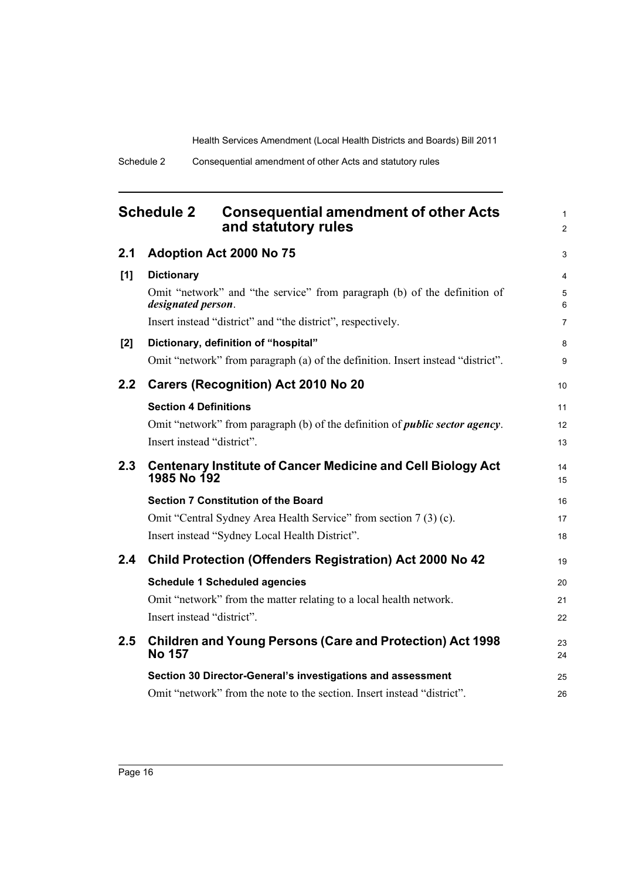1 2

<span id="page-19-0"></span>

| <b>Schedule 2</b> | <b>Consequential amendment of other Acts</b> |
|-------------------|----------------------------------------------|
|                   | and statutory rules                          |

| 2.1           | Adoption Act 2000 No 75                                                                        | 3              |
|---------------|------------------------------------------------------------------------------------------------|----------------|
| [1]           | <b>Dictionary</b>                                                                              | $\overline{4}$ |
|               | Omit "network" and "the service" from paragraph (b) of the definition of<br>designated person. | 5<br>6         |
|               | Insert instead "district" and "the district", respectively.                                    | $\overline{7}$ |
| [2]           | Dictionary, definition of "hospital"                                                           | 8              |
|               | Omit "network" from paragraph (a) of the definition. Insert instead "district".                | 9              |
| $2.2^{\circ}$ | <b>Carers (Recognition) Act 2010 No 20</b>                                                     | 10             |
|               | <b>Section 4 Definitions</b>                                                                   | 11             |
|               | Omit "network" from paragraph (b) of the definition of <i>public sector agency</i> .           | 12             |
|               | Insert instead "district".                                                                     | 13             |
| 2.3           | <b>Centenary Institute of Cancer Medicine and Cell Biology Act</b><br>1985 No 192              | 14<br>15       |
|               | <b>Section 7 Constitution of the Board</b>                                                     | 16             |
|               | Omit "Central Sydney Area Health Service" from section 7(3)(c).                                | 17             |
|               | Insert instead "Sydney Local Health District".                                                 | 18             |
| 2.4           | <b>Child Protection (Offenders Registration) Act 2000 No 42</b>                                | 19             |
|               | <b>Schedule 1 Scheduled agencies</b>                                                           | 20             |
|               | Omit "network" from the matter relating to a local health network.                             | 21             |
|               | Insert instead "district".                                                                     | 22             |
| 2.5           | <b>Children and Young Persons (Care and Protection) Act 1998</b><br><b>No 157</b>              | 23<br>24       |
|               | Section 30 Director-General's investigations and assessment                                    | 25             |
|               | Omit "network" from the note to the section. Insert instead "district".                        | 26             |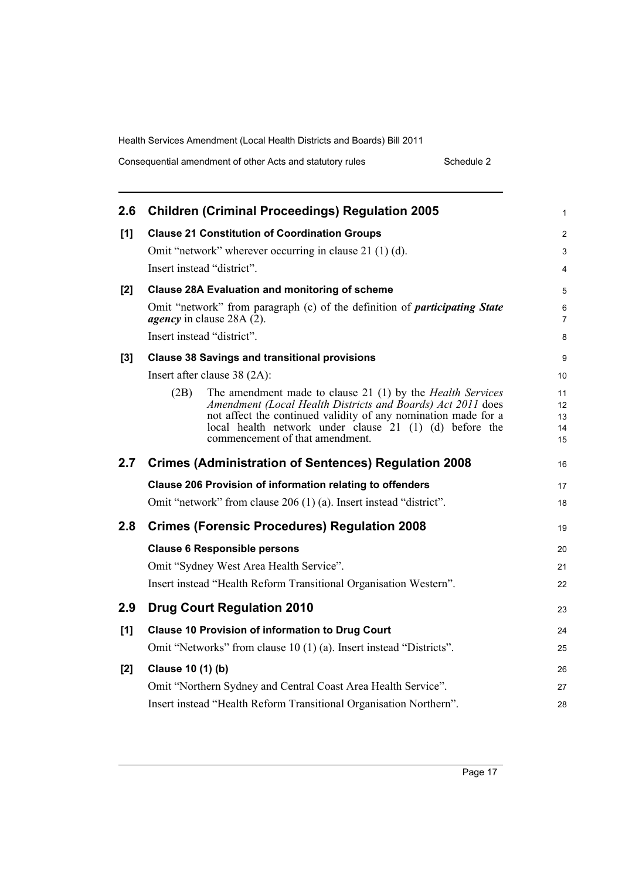Consequential amendment of other Acts and statutory rules Schedule 2

| 2.6 | <b>Children (Criminal Proceedings) Regulation 2005</b>                                                                                                                                                                                                                                                   | $\mathbf{1}$               |
|-----|----------------------------------------------------------------------------------------------------------------------------------------------------------------------------------------------------------------------------------------------------------------------------------------------------------|----------------------------|
| [1] | <b>Clause 21 Constitution of Coordination Groups</b>                                                                                                                                                                                                                                                     | $\overline{2}$             |
|     | Omit "network" wherever occurring in clause 21 (1) (d).                                                                                                                                                                                                                                                  | 3                          |
|     | Insert instead "district".                                                                                                                                                                                                                                                                               | 4                          |
| [2] | <b>Clause 28A Evaluation and monitoring of scheme</b>                                                                                                                                                                                                                                                    | 5                          |
|     | Omit "network" from paragraph (c) of the definition of <i>participating State</i><br><i>agency</i> in clause 28A (2).                                                                                                                                                                                    | 6<br>$\overline{7}$        |
|     | Insert instead "district".                                                                                                                                                                                                                                                                               | 8                          |
| [3] | <b>Clause 38 Savings and transitional provisions</b>                                                                                                                                                                                                                                                     | 9                          |
|     | Insert after clause 38 (2A):                                                                                                                                                                                                                                                                             | 10                         |
|     | The amendment made to clause 21 (1) by the <i>Health Services</i><br>(2B)<br>Amendment (Local Health Districts and Boards) Act 2011 does<br>not affect the continued validity of any nomination made for a<br>local health network under clause 21 (1) (d) before the<br>commencement of that amendment. | 11<br>12<br>13<br>14<br>15 |
| 2.7 | <b>Crimes (Administration of Sentences) Regulation 2008</b>                                                                                                                                                                                                                                              | 16                         |
|     | <b>Clause 206 Provision of information relating to offenders</b>                                                                                                                                                                                                                                         | 17                         |
|     | Omit "network" from clause 206 (1) (a). Insert instead "district".                                                                                                                                                                                                                                       | 18                         |
| 2.8 | <b>Crimes (Forensic Procedures) Regulation 2008</b>                                                                                                                                                                                                                                                      | 19                         |
|     | <b>Clause 6 Responsible persons</b>                                                                                                                                                                                                                                                                      | 20                         |
|     | Omit "Sydney West Area Health Service".                                                                                                                                                                                                                                                                  | 21                         |
|     | Insert instead "Health Reform Transitional Organisation Western".                                                                                                                                                                                                                                        | 22                         |
| 2.9 | <b>Drug Court Regulation 2010</b>                                                                                                                                                                                                                                                                        | 23                         |
| [1] | <b>Clause 10 Provision of information to Drug Court</b>                                                                                                                                                                                                                                                  | 24                         |
|     | Omit "Networks" from clause 10 (1) (a). Insert instead "Districts".                                                                                                                                                                                                                                      | 25                         |
| [2] | Clause 10 (1) (b)                                                                                                                                                                                                                                                                                        | 26                         |
|     | Omit "Northern Sydney and Central Coast Area Health Service".                                                                                                                                                                                                                                            | 27                         |
|     | Insert instead "Health Reform Transitional Organisation Northern".                                                                                                                                                                                                                                       | 28                         |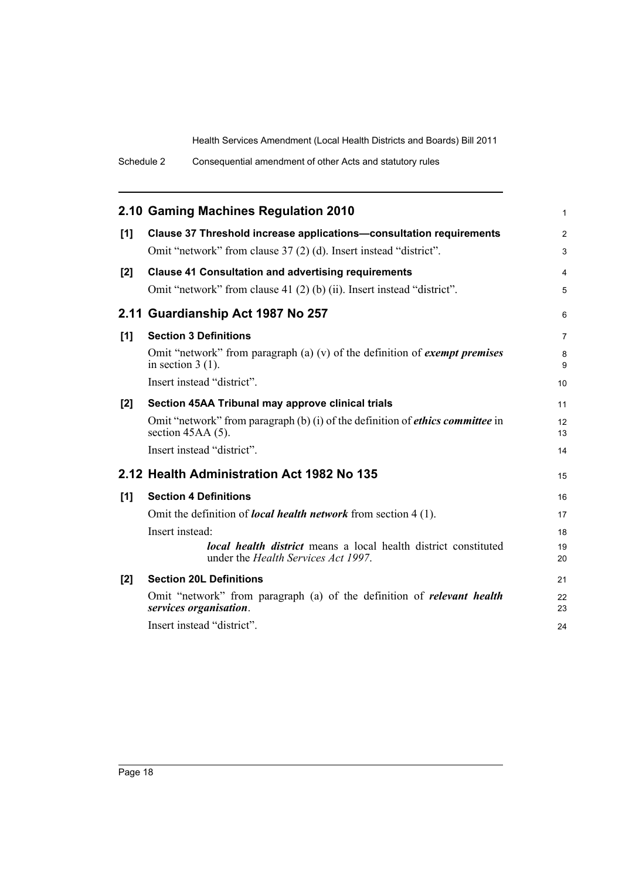|     | 2.10 Gaming Machines Regulation 2010                                                                                  | $\mathbf{1}$   |
|-----|-----------------------------------------------------------------------------------------------------------------------|----------------|
| [1] | <b>Clause 37 Threshold increase applications-consultation requirements</b>                                            | 2              |
|     | Omit "network" from clause 37 (2) (d). Insert instead "district".                                                     | 3              |
| [2] | <b>Clause 41 Consultation and advertising requirements</b>                                                            | 4              |
|     | Omit "network" from clause 41 (2) (b) (ii). Insert instead "district".                                                | 5              |
|     | 2.11 Guardianship Act 1987 No 257                                                                                     | 6              |
| [1] | <b>Section 3 Definitions</b>                                                                                          | $\overline{7}$ |
|     | Omit "network" from paragraph (a) (v) of the definition of <i>exempt premises</i><br>in section $3(1)$ .              | 8<br>9         |
|     | Insert instead "district".                                                                                            | 10             |
| [2] | Section 45AA Tribunal may approve clinical trials                                                                     | 11             |
|     | Omit "network" from paragraph (b) (i) of the definition of <i>ethics committee</i> in<br>section $45AA(5)$ .          | 12<br>13       |
|     | Insert instead "district".                                                                                            | 14             |
|     | 2.12 Health Administration Act 1982 No 135                                                                            | 15             |
| [1] | <b>Section 4 Definitions</b>                                                                                          | 16             |
|     | Omit the definition of <i>local health network</i> from section 4 (1).                                                | 17             |
|     | Insert instead:                                                                                                       | 18             |
|     | <b>local health district</b> means a local health district constituted<br>under the <i>Health Services Act 1997</i> . | 19<br>20       |
| [2] | <b>Section 20L Definitions</b>                                                                                        | 21             |
|     | Omit "network" from paragraph (a) of the definition of <i>relevant</i> health<br>services organisation.               | 22<br>23       |
|     | Insert instead "district".                                                                                            | 24             |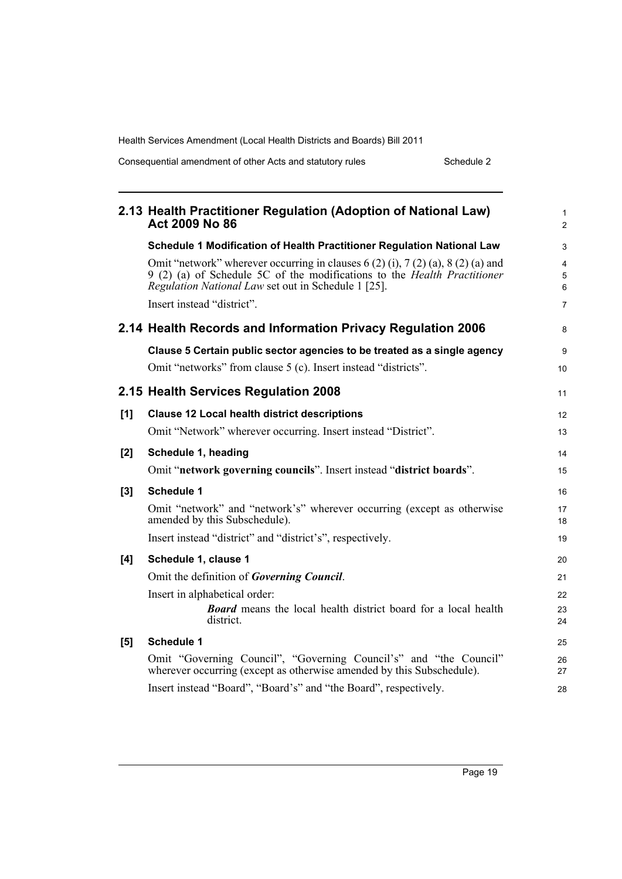Consequential amendment of other Acts and statutory rules Schedule 2

|       | 2.13 Health Practitioner Regulation (Adoption of National Law)<br>Act 2009 No 86                                                                                                                                                                            | $\mathbf{1}$<br>2             |
|-------|-------------------------------------------------------------------------------------------------------------------------------------------------------------------------------------------------------------------------------------------------------------|-------------------------------|
|       | Schedule 1 Modification of Health Practitioner Regulation National Law                                                                                                                                                                                      | 3                             |
|       | Omit "network" wherever occurring in clauses $6(2)$ (i), $7(2)$ (a), $8(2)$ (a) and<br>9 (2) (a) of Schedule 5C of the modifications to the <i>Health Practitioner</i><br>Regulation National Law set out in Schedule 1 [25].<br>Insert instead "district". | 4<br>5<br>6<br>$\overline{7}$ |
|       | 2.14 Health Records and Information Privacy Regulation 2006                                                                                                                                                                                                 | 8                             |
|       | Clause 5 Certain public sector agencies to be treated as a single agency                                                                                                                                                                                    | 9                             |
|       | Omit "networks" from clause 5 (c). Insert instead "districts".                                                                                                                                                                                              | 10                            |
|       | 2.15 Health Services Regulation 2008                                                                                                                                                                                                                        | 11                            |
| [1]   | <b>Clause 12 Local health district descriptions</b>                                                                                                                                                                                                         | 12                            |
|       | Omit "Network" wherever occurring. Insert instead "District".                                                                                                                                                                                               | 13                            |
| $[2]$ | Schedule 1, heading                                                                                                                                                                                                                                         | 14                            |
|       | Omit "network governing councils". Insert instead "district boards".                                                                                                                                                                                        | 15                            |
| $[3]$ | <b>Schedule 1</b>                                                                                                                                                                                                                                           | 16                            |
|       | Omit "network" and "network's" wherever occurring (except as otherwise<br>amended by this Subschedule).                                                                                                                                                     | 17<br>18                      |
|       | Insert instead "district" and "district's", respectively.                                                                                                                                                                                                   | 19                            |
| [4]   | Schedule 1, clause 1                                                                                                                                                                                                                                        | 20                            |
|       | Omit the definition of Governing Council.                                                                                                                                                                                                                   | 21                            |
|       | Insert in alphabetical order:                                                                                                                                                                                                                               | 22                            |
|       | <b>Board</b> means the local health district board for a local health<br>district.                                                                                                                                                                          | 23<br>24                      |
| [5]   | <b>Schedule 1</b>                                                                                                                                                                                                                                           | 25                            |
|       | Omit "Governing Council", "Governing Council's" and "the Council"<br>wherever occurring (except as otherwise amended by this Subschedule).                                                                                                                  | 26<br>27                      |
|       | Insert instead "Board", "Board's" and "the Board", respectively.                                                                                                                                                                                            | 28                            |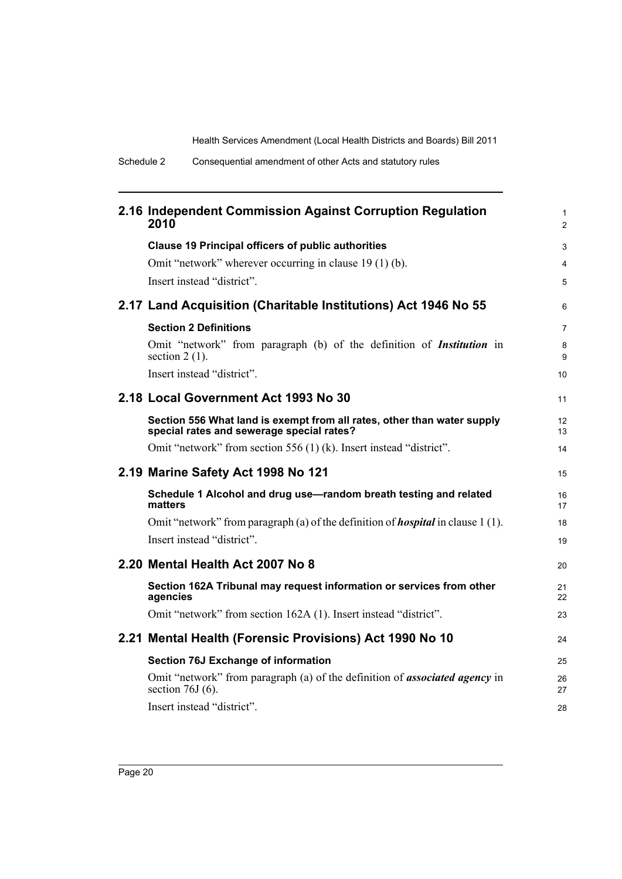| 2.16 Independent Commission Against Corruption Regulation<br>2010                                                    | $\mathbf{1}$<br>$\overline{2}$ |
|----------------------------------------------------------------------------------------------------------------------|--------------------------------|
| <b>Clause 19 Principal officers of public authorities</b>                                                            | 3                              |
| Omit "network" wherever occurring in clause 19 (1) (b).                                                              | 4                              |
| Insert instead "district".                                                                                           | 5                              |
| 2.17 Land Acquisition (Charitable Institutions) Act 1946 No 55                                                       | 6                              |
| <b>Section 2 Definitions</b>                                                                                         | $\overline{7}$                 |
| Omit "network" from paragraph (b) of the definition of <i>Institution</i> in<br>section $2(1)$ .                     | 8<br>9                         |
| Insert instead "district".                                                                                           | 10                             |
| 2.18 Local Government Act 1993 No 30                                                                                 | 11                             |
| Section 556 What land is exempt from all rates, other than water supply<br>special rates and sewerage special rates? | 12<br>13                       |
| Omit "network" from section 556 (1) (k). Insert instead "district".                                                  | 14                             |
| 2.19 Marine Safety Act 1998 No 121                                                                                   | 15                             |
| Schedule 1 Alcohol and drug use-random breath testing and related<br>matters                                         | 16<br>17                       |
| Omit "network" from paragraph (a) of the definition of <b>hospital</b> in clause 1(1).                               | 18                             |
| Insert instead "district".                                                                                           | 19                             |
| 2.20 Mental Health Act 2007 No 8                                                                                     | 20                             |
| Section 162A Tribunal may request information or services from other<br>agencies                                     | 21<br>22                       |
| Omit "network" from section 162A (1). Insert instead "district".                                                     | 23                             |
| 2.21 Mental Health (Forensic Provisions) Act 1990 No 10                                                              | 24                             |
| Section 76J Exchange of information                                                                                  | 25                             |
| Omit "network" from paragraph (a) of the definition of <b>associated agency</b> in<br>section $76J(6)$ .             | 26<br>27                       |
| Insert instead "district".                                                                                           | 28                             |
|                                                                                                                      |                                |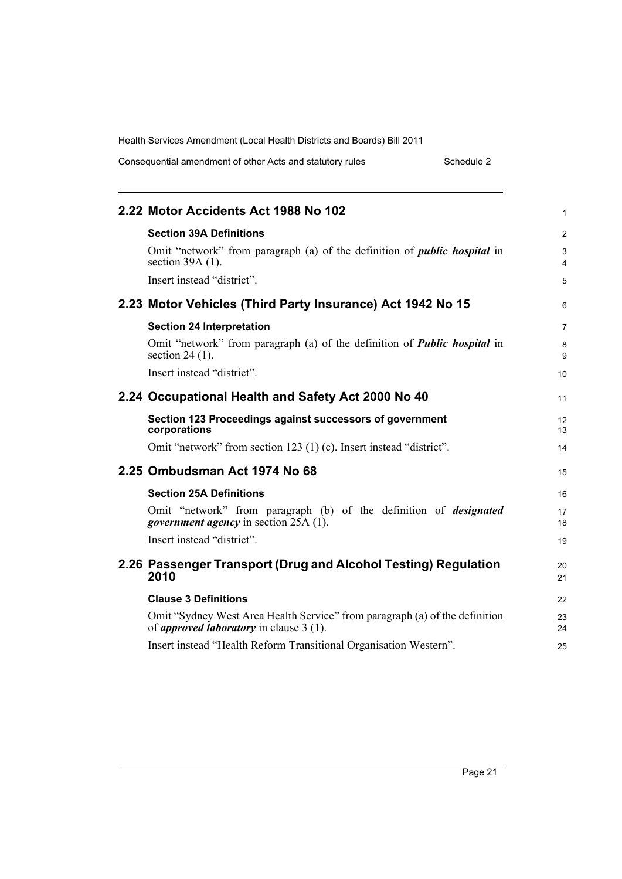| Consequential amendment of other Acts and statutory rules | Schedule 2 |
|-----------------------------------------------------------|------------|
|-----------------------------------------------------------|------------|

| 2.22 Motor Accidents Act 1988 No 102                                                                                            | 1              |
|---------------------------------------------------------------------------------------------------------------------------------|----------------|
| <b>Section 39A Definitions</b>                                                                                                  | $\overline{c}$ |
| Omit "network" from paragraph (a) of the definition of <i>public hospital</i> in<br>section $39A(1)$ .                          | 3<br>4         |
| Insert instead "district".                                                                                                      | 5              |
| 2.23 Motor Vehicles (Third Party Insurance) Act 1942 No 15                                                                      | 6              |
| <b>Section 24 Interpretation</b>                                                                                                | 7              |
| Omit "network" from paragraph (a) of the definition of <b>Public hospital</b> in<br>section $24(1)$ .                           | 8<br>9         |
| Insert instead "district".                                                                                                      | 10             |
| 2.24 Occupational Health and Safety Act 2000 No 40                                                                              | 11             |
| Section 123 Proceedings against successors of government<br>corporations                                                        | 12<br>13       |
| Omit "network" from section 123 (1) (c). Insert instead "district".                                                             | 14             |
| 2.25 Ombudsman Act 1974 No 68                                                                                                   | 15             |
| <b>Section 25A Definitions</b>                                                                                                  | 16             |
| Omit "network" from paragraph (b) of the definition of <i>designated</i><br><i>government agency</i> in section 25A (1).        | 17<br>18       |
| Insert instead "district".                                                                                                      | 19             |
| 2.26 Passenger Transport (Drug and Alcohol Testing) Regulation<br>2010                                                          | 20<br>21       |
| <b>Clause 3 Definitions</b>                                                                                                     | 22             |
| Omit "Sydney West Area Health Service" from paragraph (a) of the definition<br>of <i>approved laboratory</i> in clause $3(1)$ . | 23<br>24       |
| Insert instead "Health Reform Transitional Organisation Western".                                                               | 25             |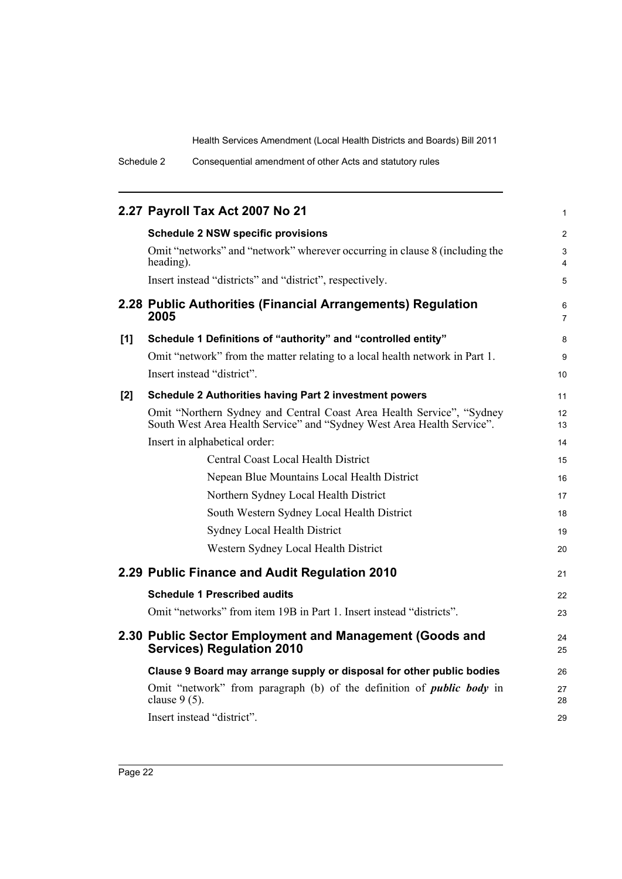|     | 2.27 Payroll Tax Act 2007 No 21                                                                                                                 | $\mathbf{1}$                 |
|-----|-------------------------------------------------------------------------------------------------------------------------------------------------|------------------------------|
|     | <b>Schedule 2 NSW specific provisions</b>                                                                                                       | 2                            |
|     | Omit "networks" and "network" wherever occurring in clause 8 (including the<br>heading).                                                        | 3<br>$\overline{\mathbf{4}}$ |
|     | Insert instead "districts" and "district", respectively.                                                                                        | 5                            |
|     | 2.28 Public Authorities (Financial Arrangements) Regulation<br>2005                                                                             | 6<br>$\overline{7}$          |
| [1] | Schedule 1 Definitions of "authority" and "controlled entity"                                                                                   | 8                            |
|     | Omit "network" from the matter relating to a local health network in Part 1.                                                                    | 9                            |
|     | Insert instead "district".                                                                                                                      | 10                           |
| [2] | Schedule 2 Authorities having Part 2 investment powers                                                                                          | 11                           |
|     | Omit "Northern Sydney and Central Coast Area Health Service", "Sydney<br>South West Area Health Service" and "Sydney West Area Health Service". | 12<br>13                     |
|     | Insert in alphabetical order:                                                                                                                   | 14                           |
|     | Central Coast Local Health District                                                                                                             | 15                           |
|     | Nepean Blue Mountains Local Health District                                                                                                     | 16                           |
|     | Northern Sydney Local Health District                                                                                                           | 17                           |
|     | South Western Sydney Local Health District                                                                                                      | 18                           |
|     | <b>Sydney Local Health District</b>                                                                                                             | 19                           |
|     | Western Sydney Local Health District                                                                                                            | 20                           |
|     | 2.29 Public Finance and Audit Regulation 2010                                                                                                   | 21                           |
|     | <b>Schedule 1 Prescribed audits</b>                                                                                                             | 22                           |
|     | Omit "networks" from item 19B in Part 1. Insert instead "districts".                                                                            | 23                           |
|     | 2.30 Public Sector Employment and Management (Goods and<br><b>Services) Regulation 2010</b>                                                     | 24<br>25                     |
|     | Clause 9 Board may arrange supply or disposal for other public bodies                                                                           | 26                           |
|     | Omit "network" from paragraph (b) of the definition of <i>public body</i> in<br>clause $9(5)$ .                                                 | 27<br>28                     |
|     | Insert instead "district".                                                                                                                      | 29                           |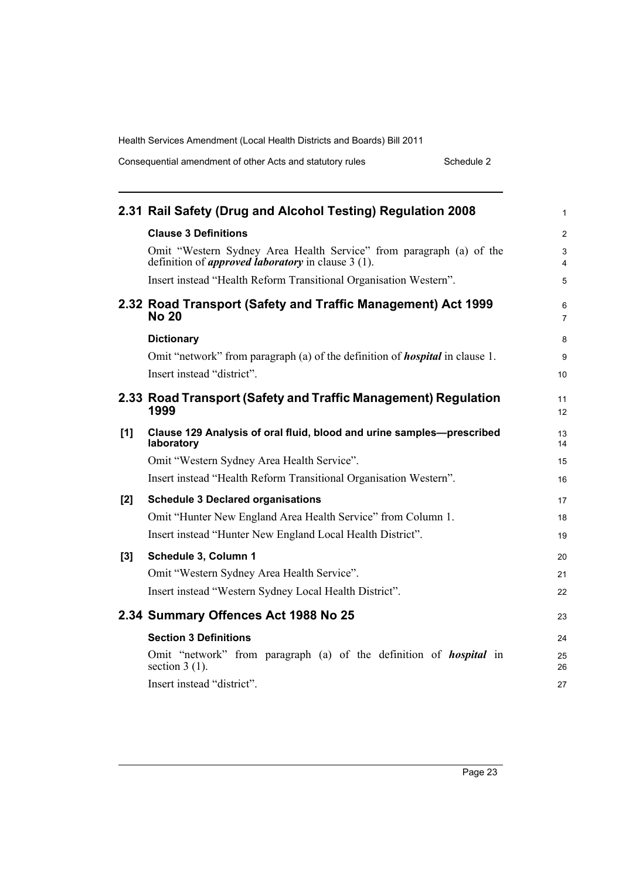Consequential amendment of other Acts and statutory rules Schedule 2

|     | 2.31 Rail Safety (Drug and Alcohol Testing) Regulation 2008                                                                      | $\mathbf{1}$          |
|-----|----------------------------------------------------------------------------------------------------------------------------------|-----------------------|
|     | <b>Clause 3 Definitions</b>                                                                                                      | $\overline{2}$        |
|     | Omit "Western Sydney Area Health Service" from paragraph (a) of the<br>definition of <i>approved laboratory</i> in clause 3 (1). | 3<br>4                |
|     | Insert instead "Health Reform Transitional Organisation Western".                                                                | 5                     |
|     | 2.32 Road Transport (Safety and Traffic Management) Act 1999<br><b>No 20</b>                                                     | 6<br>$\overline{7}$   |
|     | <b>Dictionary</b>                                                                                                                | 8                     |
|     | Omit "network" from paragraph (a) of the definition of <b><i>hospital</i></b> in clause 1.                                       | 9                     |
|     | Insert instead "district".                                                                                                       | 10 <sup>°</sup>       |
|     | 2.33 Road Transport (Safety and Traffic Management) Regulation<br>1999                                                           | 11<br>12 <sup>2</sup> |
| [1] | Clause 129 Analysis of oral fluid, blood and urine samples-prescribed<br>laboratory                                              | 13<br>14              |
|     | Omit "Western Sydney Area Health Service".                                                                                       | 15                    |
|     | Insert instead "Health Reform Transitional Organisation Western".                                                                | 16                    |
| [2] | <b>Schedule 3 Declared organisations</b>                                                                                         | 17                    |
|     | Omit "Hunter New England Area Health Service" from Column 1.                                                                     | 18                    |
|     | Insert instead "Hunter New England Local Health District".                                                                       | 19                    |
| [3] | Schedule 3, Column 1                                                                                                             | 20                    |
|     | Omit "Western Sydney Area Health Service".                                                                                       | 21                    |
|     | Insert instead "Western Sydney Local Health District".                                                                           | 22                    |
|     | 2.34 Summary Offences Act 1988 No 25                                                                                             | 23                    |
|     | <b>Section 3 Definitions</b>                                                                                                     | 24                    |
|     | Omit "network" from paragraph (a) of the definition of <b>hospital</b> in<br>section $3(1)$ .                                    | 25<br>26              |
|     | Insert instead "district".                                                                                                       | 27                    |